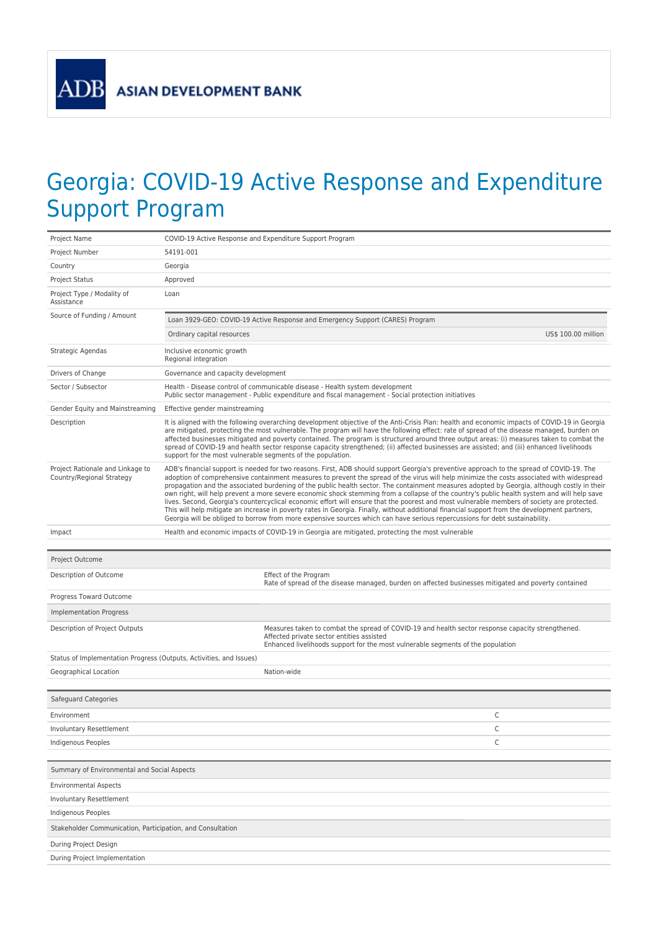ADB

## Georgia: COVID-19 Active Response and Expenditure Support Program

| Project Name                                                        | COVID-19 Active Response and Expenditure Support Program                                                                                                                                                                                                                                                                                                                                                                                                                                                                                                                                                                                                                                                                                                                                                                                                                                                                                                                                                            |                                                                                                                                                                                                                                   |  |  |
|---------------------------------------------------------------------|---------------------------------------------------------------------------------------------------------------------------------------------------------------------------------------------------------------------------------------------------------------------------------------------------------------------------------------------------------------------------------------------------------------------------------------------------------------------------------------------------------------------------------------------------------------------------------------------------------------------------------------------------------------------------------------------------------------------------------------------------------------------------------------------------------------------------------------------------------------------------------------------------------------------------------------------------------------------------------------------------------------------|-----------------------------------------------------------------------------------------------------------------------------------------------------------------------------------------------------------------------------------|--|--|
| Project Number                                                      | 54191-001                                                                                                                                                                                                                                                                                                                                                                                                                                                                                                                                                                                                                                                                                                                                                                                                                                                                                                                                                                                                           |                                                                                                                                                                                                                                   |  |  |
| Country                                                             | Georgia                                                                                                                                                                                                                                                                                                                                                                                                                                                                                                                                                                                                                                                                                                                                                                                                                                                                                                                                                                                                             |                                                                                                                                                                                                                                   |  |  |
| Project Status                                                      | Approved                                                                                                                                                                                                                                                                                                                                                                                                                                                                                                                                                                                                                                                                                                                                                                                                                                                                                                                                                                                                            |                                                                                                                                                                                                                                   |  |  |
| Project Type / Modality of<br>Assistance                            | Loan                                                                                                                                                                                                                                                                                                                                                                                                                                                                                                                                                                                                                                                                                                                                                                                                                                                                                                                                                                                                                |                                                                                                                                                                                                                                   |  |  |
| Source of Funding / Amount                                          |                                                                                                                                                                                                                                                                                                                                                                                                                                                                                                                                                                                                                                                                                                                                                                                                                                                                                                                                                                                                                     | Loan 3929-GEO: COVID-19 Active Response and Emergency Support (CARES) Program                                                                                                                                                     |  |  |
|                                                                     | Ordinary capital resources                                                                                                                                                                                                                                                                                                                                                                                                                                                                                                                                                                                                                                                                                                                                                                                                                                                                                                                                                                                          | US\$ 100.00 million                                                                                                                                                                                                               |  |  |
| Strategic Agendas                                                   | Inclusive economic growth<br>Regional integration                                                                                                                                                                                                                                                                                                                                                                                                                                                                                                                                                                                                                                                                                                                                                                                                                                                                                                                                                                   |                                                                                                                                                                                                                                   |  |  |
| Drivers of Change                                                   | Governance and capacity development                                                                                                                                                                                                                                                                                                                                                                                                                                                                                                                                                                                                                                                                                                                                                                                                                                                                                                                                                                                 |                                                                                                                                                                                                                                   |  |  |
| Sector / Subsector                                                  | Health - Disease control of communicable disease - Health system development<br>Public sector management - Public expenditure and fiscal management - Social protection initiatives                                                                                                                                                                                                                                                                                                                                                                                                                                                                                                                                                                                                                                                                                                                                                                                                                                 |                                                                                                                                                                                                                                   |  |  |
| Gender Equity and Mainstreaming                                     | Effective gender mainstreaming                                                                                                                                                                                                                                                                                                                                                                                                                                                                                                                                                                                                                                                                                                                                                                                                                                                                                                                                                                                      |                                                                                                                                                                                                                                   |  |  |
| Description                                                         | It is aligned with the following overarching development objective of the Anti-Crisis Plan: health and economic impacts of COVID-19 in Georgia<br>are mitigated, protecting the most vulnerable. The program will have the following effect: rate of spread of the disease managed, burden on<br>affected businesses mitigated and poverty contained. The program is structured around three output areas: (i) measures taken to combat the<br>spread of COVID-19 and health sector response capacity strengthened; (ii) affected businesses are assisted; and (iii) enhanced livelihoods<br>support for the most vulnerable segments of the population.                                                                                                                                                                                                                                                                                                                                                            |                                                                                                                                                                                                                                   |  |  |
| Project Rationale and Linkage to<br>Country/Regional Strategy       | ADB's financial support is needed for two reasons. First, ADB should support Georgia's preventive approach to the spread of COVID-19. The<br>adoption of comprehensive containment measures to prevent the spread of the virus will help minimize the costs associated with widespread<br>propagation and the associated burdening of the public health sector. The containment measures adopted by Georgia, although costly in their<br>own right, will help prevent a more severe economic shock stemming from a collapse of the country's public health system and will help save<br>lives. Second, Georgia's countercyclical economic effort will ensure that the poorest and most vulnerable members of society are protected.<br>This will help mitigate an increase in poverty rates in Georgia. Finally, without additional financial support from the development partners,<br>Georgia will be obliged to borrow from more expensive sources which can have serious repercussions for debt sustainability. |                                                                                                                                                                                                                                   |  |  |
| Impact                                                              |                                                                                                                                                                                                                                                                                                                                                                                                                                                                                                                                                                                                                                                                                                                                                                                                                                                                                                                                                                                                                     | Health and economic impacts of COVID-19 in Georgia are mitigated, protecting the most vulnerable                                                                                                                                  |  |  |
|                                                                     |                                                                                                                                                                                                                                                                                                                                                                                                                                                                                                                                                                                                                                                                                                                                                                                                                                                                                                                                                                                                                     |                                                                                                                                                                                                                                   |  |  |
|                                                                     |                                                                                                                                                                                                                                                                                                                                                                                                                                                                                                                                                                                                                                                                                                                                                                                                                                                                                                                                                                                                                     |                                                                                                                                                                                                                                   |  |  |
| Project Outcome                                                     |                                                                                                                                                                                                                                                                                                                                                                                                                                                                                                                                                                                                                                                                                                                                                                                                                                                                                                                                                                                                                     |                                                                                                                                                                                                                                   |  |  |
| Description of Outcome                                              |                                                                                                                                                                                                                                                                                                                                                                                                                                                                                                                                                                                                                                                                                                                                                                                                                                                                                                                                                                                                                     | Effect of the Program<br>Rate of spread of the disease managed, burden on affected businesses mitigated and poverty contained                                                                                                     |  |  |
| Progress Toward Outcome                                             |                                                                                                                                                                                                                                                                                                                                                                                                                                                                                                                                                                                                                                                                                                                                                                                                                                                                                                                                                                                                                     |                                                                                                                                                                                                                                   |  |  |
| <b>Implementation Progress</b>                                      |                                                                                                                                                                                                                                                                                                                                                                                                                                                                                                                                                                                                                                                                                                                                                                                                                                                                                                                                                                                                                     |                                                                                                                                                                                                                                   |  |  |
| Description of Project Outputs                                      |                                                                                                                                                                                                                                                                                                                                                                                                                                                                                                                                                                                                                                                                                                                                                                                                                                                                                                                                                                                                                     | Measures taken to combat the spread of COVID-19 and health sector response capacity strengthened.<br>Affected private sector entities assisted<br>Enhanced livelihoods support for the most vulnerable segments of the population |  |  |
| Status of Implementation Progress (Outputs, Activities, and Issues) |                                                                                                                                                                                                                                                                                                                                                                                                                                                                                                                                                                                                                                                                                                                                                                                                                                                                                                                                                                                                                     |                                                                                                                                                                                                                                   |  |  |
| Geographical Location                                               |                                                                                                                                                                                                                                                                                                                                                                                                                                                                                                                                                                                                                                                                                                                                                                                                                                                                                                                                                                                                                     | Nation-wide                                                                                                                                                                                                                       |  |  |
|                                                                     |                                                                                                                                                                                                                                                                                                                                                                                                                                                                                                                                                                                                                                                                                                                                                                                                                                                                                                                                                                                                                     |                                                                                                                                                                                                                                   |  |  |
| Safeguard Categories                                                |                                                                                                                                                                                                                                                                                                                                                                                                                                                                                                                                                                                                                                                                                                                                                                                                                                                                                                                                                                                                                     |                                                                                                                                                                                                                                   |  |  |
| Environment                                                         |                                                                                                                                                                                                                                                                                                                                                                                                                                                                                                                                                                                                                                                                                                                                                                                                                                                                                                                                                                                                                     | С                                                                                                                                                                                                                                 |  |  |
| <b>Involuntary Resettlement</b>                                     |                                                                                                                                                                                                                                                                                                                                                                                                                                                                                                                                                                                                                                                                                                                                                                                                                                                                                                                                                                                                                     | С                                                                                                                                                                                                                                 |  |  |
| Indigenous Peoples                                                  |                                                                                                                                                                                                                                                                                                                                                                                                                                                                                                                                                                                                                                                                                                                                                                                                                                                                                                                                                                                                                     | С                                                                                                                                                                                                                                 |  |  |
| Summary of Environmental and Social Aspects                         |                                                                                                                                                                                                                                                                                                                                                                                                                                                                                                                                                                                                                                                                                                                                                                                                                                                                                                                                                                                                                     |                                                                                                                                                                                                                                   |  |  |
| <b>Environmental Aspects</b>                                        |                                                                                                                                                                                                                                                                                                                                                                                                                                                                                                                                                                                                                                                                                                                                                                                                                                                                                                                                                                                                                     |                                                                                                                                                                                                                                   |  |  |
| Involuntary Resettlement                                            |                                                                                                                                                                                                                                                                                                                                                                                                                                                                                                                                                                                                                                                                                                                                                                                                                                                                                                                                                                                                                     |                                                                                                                                                                                                                                   |  |  |
| Indigenous Peoples                                                  |                                                                                                                                                                                                                                                                                                                                                                                                                                                                                                                                                                                                                                                                                                                                                                                                                                                                                                                                                                                                                     |                                                                                                                                                                                                                                   |  |  |
| Stakeholder Communication, Participation, and Consultation          |                                                                                                                                                                                                                                                                                                                                                                                                                                                                                                                                                                                                                                                                                                                                                                                                                                                                                                                                                                                                                     |                                                                                                                                                                                                                                   |  |  |
| During Project Design                                               |                                                                                                                                                                                                                                                                                                                                                                                                                                                                                                                                                                                                                                                                                                                                                                                                                                                                                                                                                                                                                     |                                                                                                                                                                                                                                   |  |  |